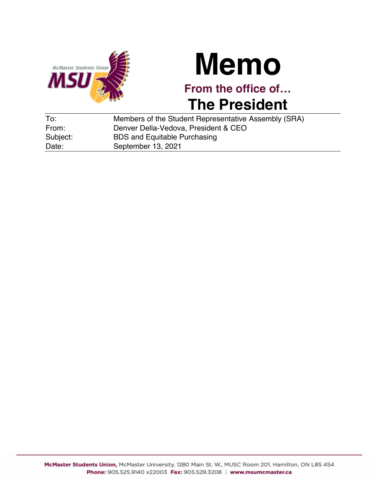

## **Memo**

**From the office of… The President**

| To:      | Members of the Student Representative Assembly (SRA) |
|----------|------------------------------------------------------|
| From:    | Denver Della-Vedova, President & CEO                 |
| Subject: | <b>BDS and Equitable Purchasing</b>                  |
| Date:    | September 13, 2021                                   |
|          |                                                      |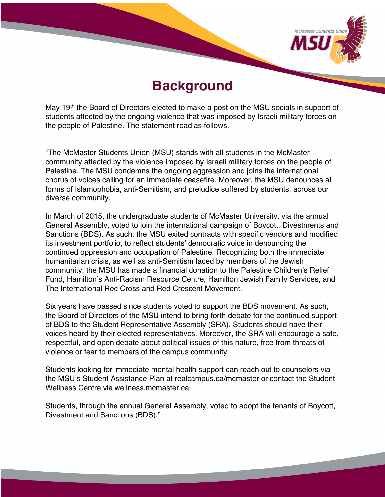

## **Background**

May 19<sup>th</sup> the Board of Directors elected to make a post on the MSU socials in support of students affected by the ongoing violence that was imposed by Israeli military forces on the people of Palestine. The statement read as follows.

"The McMaster Students Union (MSU) stands with all students in the McMaster community affected by the violence imposed by Israeli military forces on the people of Palestine. The MSU condemns the ongoing aggression and joins the international chorus of voices calling for an immediate ceasefire. Moreover, the MSU denounces all forms of Islamophobia, anti-Semitism, and prejudice suffered by students, across our diverse community.

In March of 2015, the undergraduate students of McMaster University, via the annual General Assembly, voted to join the international campaign of Boycott, Divestments and Sanctions (BDS). As such, the MSU exited contracts with specific vendors and modified its investment portfolio, to reflect students' democratic voice in denouncing the continued oppression and occupation of Palestine. Recognizing both the immediate humanitarian crisis, as well as anti-Semitism faced by members of the Jewish community, the MSU has made a financial donation to the Palestine Children's Relief Fund, Hamilton's Anti-Racism Resource Centre, Hamilton Jewish Family Services, and The International Red Cross and Red Crescent Movement.

Six years have passed since students voted to support the BDS movement. As such, the Board of Directors of the MSU intend to bring forth debate for the continued support of BDS to the Student Representative Assembly (SRA). Students should have their voices heard by their elected representatives. Moreover, the SRA will encourage a safe, respectful, and open debate about political issues of this nature, free from threats of violence or fear to members of the campus community.

Students looking for immediate mental health support can reach out to counselors via the MSU's Student Assistance Plan at realcampus.ca/mcmaster or contact the Student Wellness Centre via wellness mcmaster ca.

Students, through the annual General Assembly, voted to adopt the tenants of Boycott, Divestment and Sanctions (BDS)."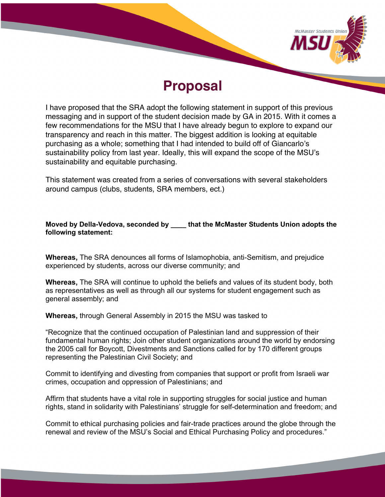

## **Proposal**

I have proposed that the SRA adopt the following statement in support of this previous messaging and in support of the student decision made by GA in 2015. With it comes a few recommendations for the MSU that I have already begun to explore to expand our transparency and reach in this matter. The biggest addition is looking at equitable purchasing as a whole; something that I had intended to build off of Giancarlo's sustainability policy from last year. Ideally, this will expand the scope of the MSU's sustainability and equitable purchasing.

This statement was created from a series of conversations with several stakeholders around campus (clubs, students, SRA members, ect.)

## **Moved by Della-Vedova, seconded by \_\_\_\_ that the McMaster Students Union adopts the following statement:**

**Whereas,** The SRA denounces all forms of Islamophobia, anti-Semitism, and prejudice experienced by students, across our diverse community; and

**Whereas,** The SRA will continue to uphold the beliefs and values of its student body, both as representatives as well as through all our systems for student engagement such as general assembly; and

**Whereas,** through General Assembly in 2015 the MSU was tasked to

"Recognize that the continued occupation of Palestinian land and suppression of their fundamental human rights; Join other student organizations around the world by endorsing the 2005 call for Boycott, Divestments and Sanctions called for by 170 different groups representing the Palestinian Civil Society; and

Commit to identifying and divesting from companies that support or profit from Israeli war crimes, occupation and oppression of Palestinians; and

Affirm that students have a vital role in supporting struggles for social justice and human rights, stand in solidarity with Palestinians' struggle for self-determination and freedom; and

Commit to ethical purchasing policies and fair-trade practices around the globe through the renewal and review of the MSU's Social and Ethical Purchasing Policy and procedures."